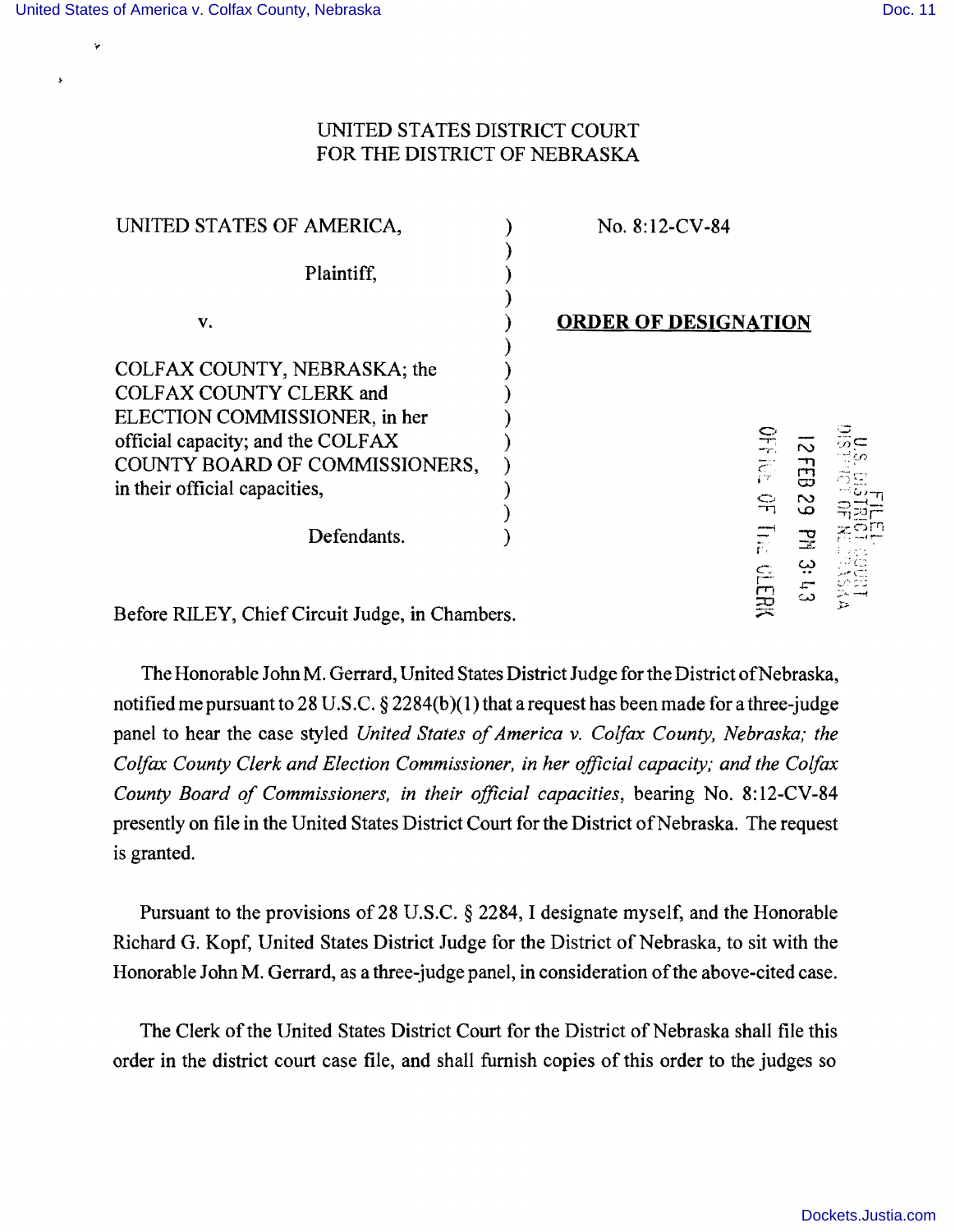$\ddot{\phantom{0}}$ 

 $\pmb{\ast}$ 

## UNITED STATES DISTRICT COURT FOR THE DISTRICT OF NEBRASKA

| UNITED STATES OF AMERICA,                                                                                                                                                                               | No. 8:12-CV-84                                   |
|---------------------------------------------------------------------------------------------------------------------------------------------------------------------------------------------------------|--------------------------------------------------|
| Plaintiff,                                                                                                                                                                                              |                                                  |
| V.                                                                                                                                                                                                      | <b>ORDER OF DESIGNATION</b>                      |
| COLFAX COUNTY, NEBRASKA; the<br><b>COLFAX COUNTY CLERK and</b><br>ELECTION COMMISSIONER, in her<br>official capacity; and the COLFAX<br>COUNTY BOARD OF COMMISSIONERS,<br>in their official capacities, | <b>OFFICE</b><br>$\sim$<br>品<br>$\sim$<br>윾<br>ص |
| Defendants.                                                                                                                                                                                             | $\Xi$<br>곺<br><b>CHR</b>                         |
| $\sim$<br>- - - -                                                                                                                                                                                       |                                                  |

Before RILEY, Chief Circuit Judge, in Chambers.

The Honorable John M. Gerrard, United States District Judge for the District of Nebraska, notified me pursuant to 28 U.S.C.  $\S 2284(b)(1)$  that a request has been made for a three-judge panel to hear the case styled *United States of America v. Colfax County, Nebraska; the Colfax County Clerk and Election Commissioner, in her official capacity; and the Colfax County Board of Commissioners, in their official capacities, bearing No. 8:12-CV-84* presently on file in the United States District Court for the District of Nebraska. The request is granted.

Pursuant to the provisions of 28 U.S.C. § 2284, I designate myself, and the Honorable Richard G. Kopf, United States District Judge for the District of Nebraska, to sit with the Honorable John M. Gerrard, as a three-judge panel, in consideration of the above-cited case.

The Clerk of the United States District Court for the District of Nebraska shall file this order in the district court case file, and shall furnish copies of this order to the judges so